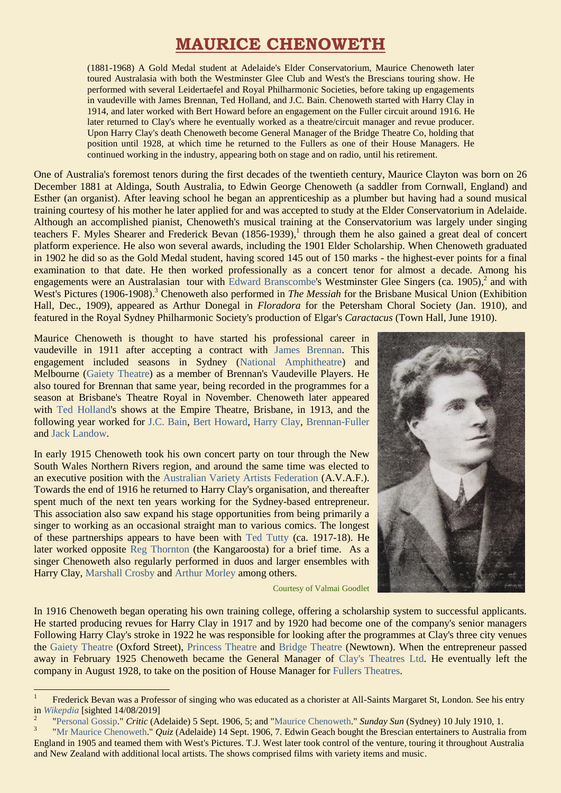# **MAURICE CHENOWETH**

(1881-1968) A Gold Medal student at Adelaide's Elder Conservatorium, Maurice Chenoweth later toured Australasia with both the Westminster Glee Club and West's the Brescians touring show. He performed with several Leidertaefel and Royal Philharmonic Societies, before taking up engagements in vaudeville with James Brennan, Ted Holland, and J.C. Bain. Chenoweth started with Harry Clay in 1914, and later worked with Bert Howard before an engagement on the Fuller circuit around 1916. He later returned to Clay's where he eventually worked as a theatre/circuit manager and revue producer. Upon Harry Clay's death Chenoweth become General Manager of the Bridge Theatre Co, holding that position until 1928, at which time he returned to the Fullers as one of their House Managers. He continued working in the industry, appearing both on stage and on radio, until his retirement.

One of Australia's foremost tenors during the first decades of the twentieth century, Maurice Clayton was born on 26 December 1881 at Aldinga, South Australia, to Edwin George Chenoweth (a saddler from Cornwall, England) and Esther (an organist). After leaving school he began an apprenticeship as a plumber but having had a sound musical training courtesy of his mother he later applied for and was accepted to study at the Elder Conservatorium in Adelaide. Although an accomplished pianist, Chenoweth's musical training at the Conservatorium was largely under singing teachers F. Myles Shearer and Frederick Bevan (1856-1939),<sup>1</sup> through them he also gained a great deal of concert platform experience. He also won several awards, including the 1901 Elder Scholarship. When Chenoweth graduated in 1902 he did so as the Gold Medal student, having scored 145 out of 150 marks - the highest-ever points for a final examination to that date. He then worked professionally as a concert tenor for almost a decade. Among his engagements were an Australasian tour with [Edward Branscombe'](https://ozvta.com/entrepreneurs-a-f/)s Westminster Glee Singers (ca. 1905), $^2$  and with West's Pictures (1906-1908).<sup>3</sup> Chenoweth also performed in *The Messiah* for the Brisbane Musical Union (Exhibition Hall, Dec., 1909), appeared as Arthur Donegal in *Floradora* for the Petersham Choral Society (Jan. 1910), and featured in the Royal Sydney Philharmonic Society's production of Elgar's *Caractacus* (Town Hall, June 1910).

Maurice Chenoweth is thought to have started his professional career in vaudeville in 1911 after accepting a contract with [James Brennan.](https://ozvta.com/entrepreneurs-a-f/) This engagement included seasons in Sydney [\(National Amphitheatre\)](https://ozvta.com/theatres-nsw/) and Melbourne [\(Gaiety Theatre\)](https://ozvta.com/theatres-vic/) as a member of Brennan's Vaudeville Players. He also toured for Brennan that same year, being recorded in the programmes for a season at Brisbane's Theatre Royal in November. Chenoweth later appeared with [Ted Holland's](https://ozvta.com/entrepreneurs-g-l/) shows at the Empire Theatre, Brisbane, in 1913, and the following year worked for [J.C. Bain,](https://ozvta.com/entrepreneurs-a-f/) [Bert Howard,](https://ozvta.com/entrepreneurs-g-l/) [Harry Clay,](https://ozvta.com/entrepreneurs-a-f/) [Brennan-Fuller](https://ozvta.com/organisations-a-l/) and [Jack Landow.](https://ozvta.com/entrepreneurs-g-l/)

In early 1915 Chenoweth took his own concert party on tour through the New South Wales Northern Rivers region, and around the same time was elected to an executive position with the [Australian Variety Artists Federation](https://ozvta.com/industry-misc-1/4/) (A.V.A.F.). Towards the end of 1916 he returned to Harry Clay's organisation, and thereafter spent much of the next ten years working for the Sydney-based entrepreneur. This association also saw expand his stage opportunities from being primarily a singer to working as an occasional straight man to various comics. The longest of these partnerships appears to have been with [Ted Tutty](https://ozvta.com/practitioners-t/) (ca. 1917-18). He later worked opposite [Reg Thornton](https://ozvta.com/practitioners-t/) (the Kangaroosta) for a brief time. As a singer Chenoweth also regularly performed in duos and larger ensembles with Harry Clay, [Marshall Crosby](https://ozvta.com/practitioners-c/) and [Arthur Morley](https://ozvta.com/practitioners-m/) among others.

1



Courtesy of Valmai Goodlet

In 1916 Chenoweth began operating his own training college, offering a scholarship system to successful applicants. He started producing revues for Harry Clay in 1917 and by 1920 had become one of the company's senior managers Following Harry Clay's stroke in 1922 he was responsible for looking after the programmes at Clay's three city venues the [Gaiety Theatre](https://ozvta.com/theatres-nsw/) (Oxford Street), [Princess Theatre](https://ozvta.com/theatres-nsw/) and [Bridge Theatre](https://ozvta.com/theatres-nsw/2/) (Newtown). When the entrepreneur passed away in February 1925 Chenoweth became the General Manager of [Clay's Theatres Ltd.](https://ozvta.com/organisations-a-l/) He eventually left the company in August 1928, to take on the position of House Manager for Fullers [Theatres.](https://ozvta.com/organisations-a-l/)

<sup>1</sup> Frederick Bevan was a Professor of singing who was educated as a chorister at All-Saints Margaret St, London. See his entry in *[Wikepdia](https://en.wikipedia.org/wiki/Frederick_Bevan)* [sighted 14/08/2019]

<sup>2</sup> ["Personal Gossip.](https://trove.nla.gov.au/newspaper/article/211413400)" *Critic* (Adelaide) 5 Sept. 1906, 5; and ["Maurice Chenoweth.](http://nla.gov.au/nla.news-article226878175)" *Sunday Sun* (Sydney) 10 July 1910, 1.

<sup>3</sup> ["Mr Maurice Chenoweth.](http://nla.gov.au/nla.news-article166342856)" *Quiz* (Adelaide) 14 Sept. 1906, 7. Edwin Geach bought the Brescian entertainers to Australia from England in 1905 and teamed them with West's Pictures. T.J. West later took control of the venture, touring it throughout Australia and New Zealand with additional local artists. The shows comprised films with variety items and music.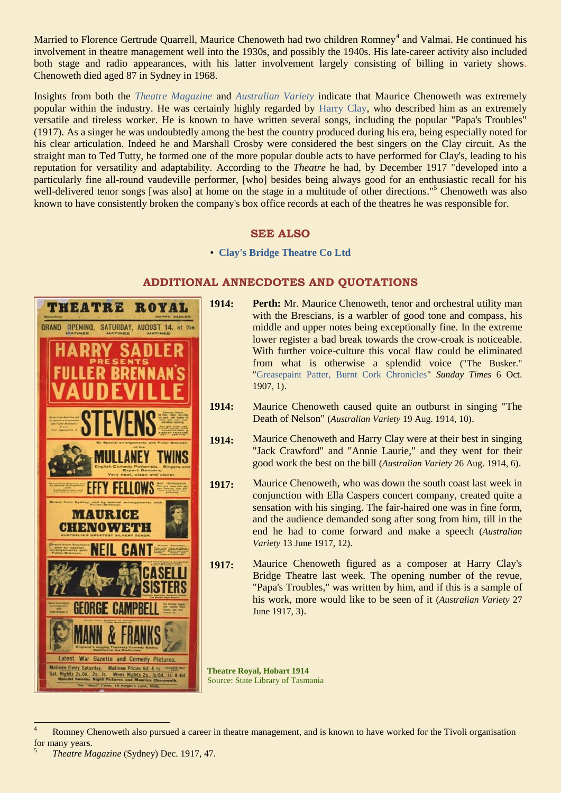Married to Florence Gertrude Quarrell, Maurice Chenoweth had two children Romney<sup>4</sup> and Valmai. He continued his involvement in theatre management well into the 1930s, and possibly the 1940s. His late-career activity also included both stage and radio appearances, with his latter involvement largely consisting of billing in variety shows. Chenoweth died aged 87 in Sydney in 1968.

Insights from both the *[Theatre Magazine](https://ozvta.com/industry-misc-2/2/)* and *[Australian Variety](https://ozvta.com/industry-misc-2/2/)* indicate that Maurice Chenoweth was extremely popular within the industry. He was certainly highly regarded by [Harry Clay,](https://ozvta.com/entrepreneurs-a-f/) who described him as an extremely versatile and tireless worker. He is known to have written several songs, including the popular "Papa's Troubles" (1917). As a singer he was undoubtedly among the best the country produced during his era, being especially noted for his clear articulation. Indeed he and Marshall Crosby were considered the best singers on the Clay circuit. As the straight man to Ted Tutty, he formed one of the more popular double acts to have performed for Clay's, leading to his reputation for versatility and adaptability. According to the *Theatre* he had, by December 1917 "developed into a particularly fine all-round vaudeville performer, [who] besides being always good for an enthusiastic recall for his well-delivered tenor songs [was also] at home on the stage in a multitude of other directions."<sup>5</sup> Chenoweth was also known to have consistently broken the company's box office records at each of the theatres he was responsible for.

### **SEE ALSO**

• **[Clay's Bridge Theatre Co Ltd](https://ozvta.com/organisations-a-l/)**

# **THEATRE ROYAL GRAND** AUGUST 14, at the OPENING SATURDAY. III LANFY **TWINS FELLOWS MAURICE** CHENOWETH **CAN** FORG**F** CAMPR Latest War Gazette and Comedy Pictures

## **ADDITIONAL ANNECDOTES AND QUOTATIONS**

- **1914: Perth:** Mr. Maurice Chenoweth, tenor and orchestral utility man with the Brescians, is a warbler of good tone and compass, his middle and upper notes being exceptionally fine. In the extreme lower register a bad break towards the crow-croak is noticeable. With further voice-culture this vocal flaw could be eliminated from what is otherwise a splendid voice ("The Busker." ["Greasepaint Patter, Burnt Cork Chronicles"](https://trove.nla.gov.au/newspaper/article/57571721) *Sunday Times* 6 Oct. 1907, 1).
- **1914:** Maurice Chenoweth caused quite an outburst in singing "The Death of Nelson" (*Australian Variety* 19 Aug. 1914, 10).
- **1914:** Maurice Chenoweth and Harry Clay were at their best in singing "Jack Crawford" and "Annie Laurie," and they went for their good work the best on the bill (*Australian Variety* 26 Aug. 1914, 6).
- **1917:** Maurice Chenoweth, who was down the south coast last week in conjunction with Ella Caspers concert company, created quite a sensation with his singing. The fair-haired one was in fine form, and the audience demanded song after song from him, till in the end he had to come forward and make a speech (*Australian Variety* 13 June 1917, 12).
- **1917:** Maurice Chenoweth figured as a composer at Harry Clay's Bridge Theatre last week. The opening number of the revue, "Papa's Troubles," was written by him, and if this is a sample of his work, more would like to be seen of it (*Australian Variety* 27 June 1917, 3).

**Theatre Royal, Hobart 1914** Source: State Library of Tasmania

 $\overline{4}$ Romney Chenoweth also pursued a career in theatre management, and is known to have worked for the Tivoli organisation for many years.

<sup>5</sup> *Theatre Magazine* (Sydney) Dec. 1917, 47.